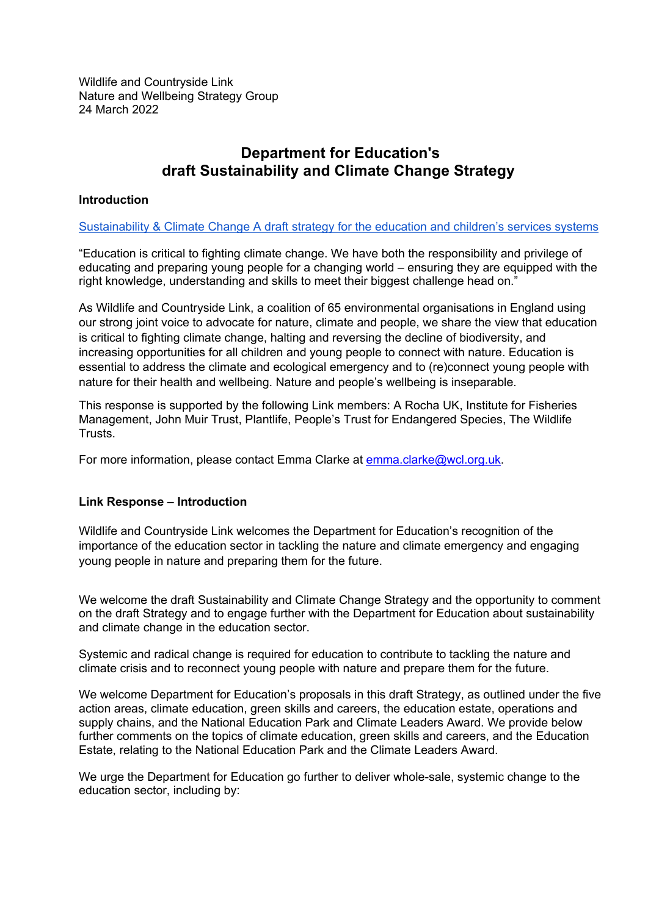Wildlife and Countryside Link Nature and Wellbeing Strategy Group 24 March 2022

# **Department for Education's draft Sustainability and Climate Change Strategy**

## **Introduction**

#### Sustainability & Climate Change A draft strategy for the education and children's services systems

"Education is critical to fighting climate change. We have both the responsibility and privilege of educating and preparing young people for a changing world – ensuring they are equipped with the right knowledge, understanding and skills to meet their biggest challenge head on."

As Wildlife and Countryside Link, a coalition of 65 environmental organisations in England using our strong joint voice to advocate for nature, climate and people, we share the view that education is critical to fighting climate change, halting and reversing the decline of biodiversity, and increasing opportunities for all children and young people to connect with nature. Education is essential to address the climate and ecological emergency and to (re)connect young people with nature for their health and wellbeing. Nature and people's wellbeing is inseparable.

This response is supported by the following Link members: A Rocha UK, Institute for Fisheries Management, John Muir Trust, Plantlife, People's Trust for Endangered Species, The Wildlife Trusts.

For more information, please contact Emma Clarke at emma.clarke@wcl.org.uk.

## **Link Response – Introduction**

Wildlife and Countryside Link welcomes the Department for Education's recognition of the importance of the education sector in tackling the nature and climate emergency and engaging young people in nature and preparing them for the future.

We welcome the draft Sustainability and Climate Change Strategy and the opportunity to comment on the draft Strategy and to engage further with the Department for Education about sustainability and climate change in the education sector.

Systemic and radical change is required for education to contribute to tackling the nature and climate crisis and to reconnect young people with nature and prepare them for the future.

We welcome Department for Education's proposals in this draft Strategy, as outlined under the five action areas, climate education, green skills and careers, the education estate, operations and supply chains, and the National Education Park and Climate Leaders Award. We provide below further comments on the topics of climate education, green skills and careers, and the Education Estate, relating to the National Education Park and the Climate Leaders Award.

We urge the Department for Education go further to deliver whole-sale, systemic change to the education sector, including by: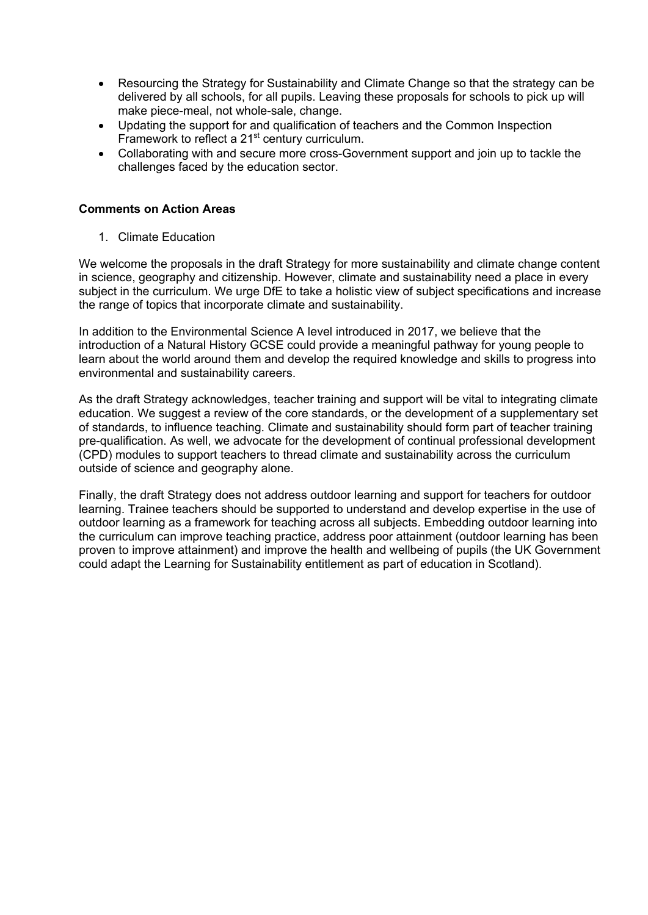- Resourcing the Strategy for Sustainability and Climate Change so that the strategy can be delivered by all schools, for all pupils. Leaving these proposals for schools to pick up will make piece-meal, not whole-sale, change.
- Updating the support for and qualification of teachers and the Common Inspection Framework to reflect a 21<sup>st</sup> century curriculum.
- Collaborating with and secure more cross-Government support and join up to tackle the challenges faced by the education sector.

#### **Comments on Action Areas**

1. Climate Education

We welcome the proposals in the draft Strategy for more sustainability and climate change content in science, geography and citizenship. However, climate and sustainability need a place in every subject in the curriculum. We urge DfE to take a holistic view of subject specifications and increase the range of topics that incorporate climate and sustainability.

In addition to the Environmental Science A level introduced in 2017, we believe that the introduction of a Natural History GCSE could provide a meaningful pathway for young people to learn about the world around them and develop the required knowledge and skills to progress into environmental and sustainability careers.

As the draft Strategy acknowledges, teacher training and support will be vital to integrating climate education. We suggest a review of the core standards, or the development of a supplementary set of standards, to influence teaching. Climate and sustainability should form part of teacher training pre-qualification. As well, we advocate for the development of continual professional development (CPD) modules to support teachers to thread climate and sustainability across the curriculum outside of science and geography alone.

Finally, the draft Strategy does not address outdoor learning and support for teachers for outdoor learning. Trainee teachers should be supported to understand and develop expertise in the use of outdoor learning as a framework for teaching across all subjects. Embedding outdoor learning into the curriculum can improve teaching practice, address poor attainment (outdoor learning has been proven to improve attainment) and improve the health and wellbeing of pupils (the UK Government could adapt the Learning for Sustainability entitlement as part of education in Scotland).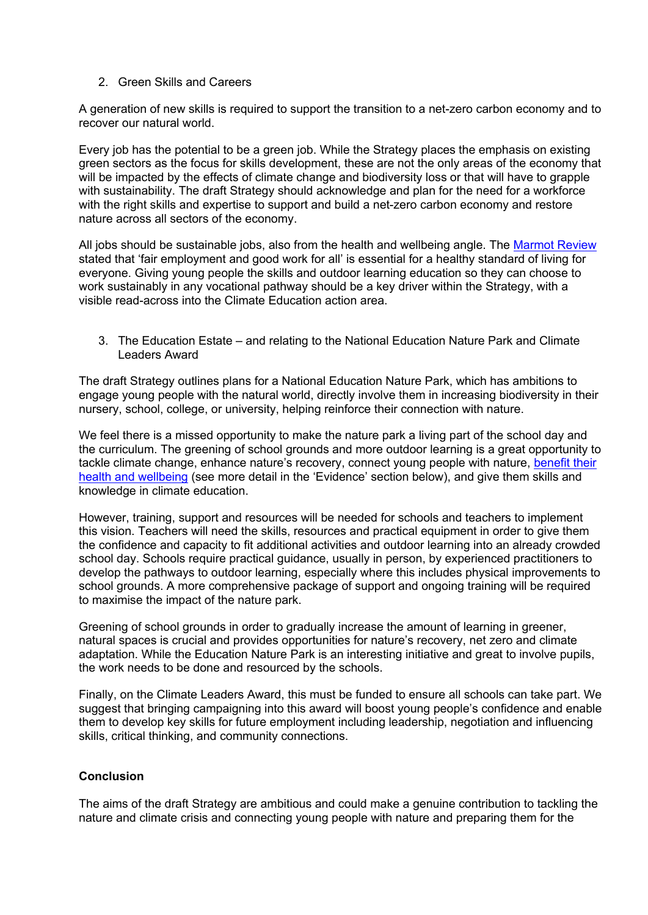2. Green Skills and Careers

A generation of new skills is required to support the transition to a net-zero carbon economy and to recover our natural world.

Every job has the potential to be a green job. While the Strategy places the emphasis on existing green sectors as the focus for skills development, these are not the only areas of the economy that will be impacted by the effects of climate change and biodiversity loss or that will have to grapple with sustainability. The draft Strategy should acknowledge and plan for the need for a workforce with the right skills and expertise to support and build a net-zero carbon economy and restore nature across all sectors of the economy.

All jobs should be sustainable jobs, also from the health and wellbeing angle. The Marmot Review stated that 'fair employment and good work for all' is essential for a healthy standard of living for everyone. Giving young people the skills and outdoor learning education so they can choose to work sustainably in any vocational pathway should be a key driver within the Strategy, with a visible read-across into the Climate Education action area.

3. The Education Estate – and relating to the National Education Nature Park and Climate Leaders Award

The draft Strategy outlines plans for a National Education Nature Park, which has ambitions to engage young people with the natural world, directly involve them in increasing biodiversity in their nursery, school, college, or university, helping reinforce their connection with nature.

We feel there is a missed opportunity to make the nature park a living part of the school day and the curriculum. The greening of school grounds and more outdoor learning is a great opportunity to tackle climate change, enhance nature's recovery, connect young people with nature, benefit their health and wellbeing (see more detail in the 'Evidence' section below), and give them skills and knowledge in climate education.

However, training, support and resources will be needed for schools and teachers to implement this vision. Teachers will need the skills, resources and practical equipment in order to give them the confidence and capacity to fit additional activities and outdoor learning into an already crowded school day. Schools require practical guidance, usually in person, by experienced practitioners to develop the pathways to outdoor learning, especially where this includes physical improvements to school grounds. A more comprehensive package of support and ongoing training will be required to maximise the impact of the nature park.

Greening of school grounds in order to gradually increase the amount of learning in greener, natural spaces is crucial and provides opportunities for nature's recovery, net zero and climate adaptation. While the Education Nature Park is an interesting initiative and great to involve pupils, the work needs to be done and resourced by the schools.

Finally, on the Climate Leaders Award, this must be funded to ensure all schools can take part. We suggest that bringing campaigning into this award will boost young people's confidence and enable them to develop key skills for future employment including leadership, negotiation and influencing skills, critical thinking, and community connections.

## **Conclusion**

The aims of the draft Strategy are ambitious and could make a genuine contribution to tackling the nature and climate crisis and connecting young people with nature and preparing them for the